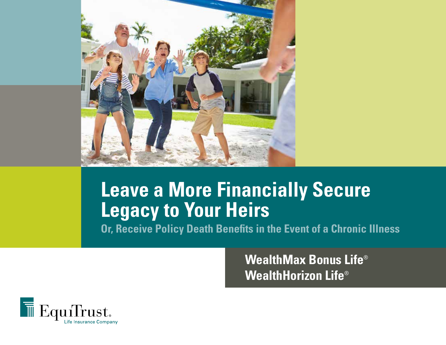

# **Leave a More Financially Secure Legacy to Your Heirs**

**Or, Receive Policy Death Benefits in the Event of a Chronic Illness**

**WealthMax Bonus Life**® **WealthHorizon Life**®

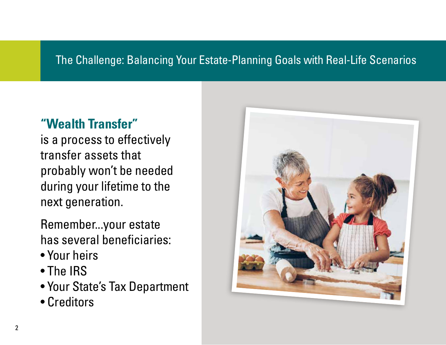### The Challenge: Balancing Your Estate-Planning Goals with Real-Life Scenarios

## **"Wealth Transfer"**

is a process to effectively transfer assets that probably won't be needed during your lifetime to the next generation.

Remember...your estate has several beneficiaries:

- Your heirs
- The IRS
- Your State's Tax Department
- Creditors

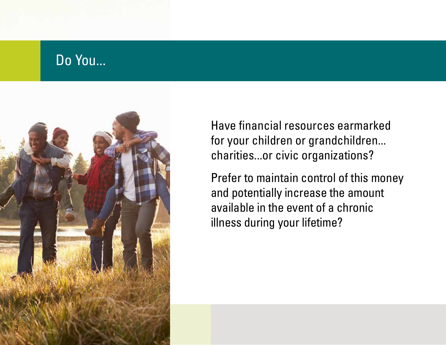## Do You...



Have financial resources earmarked for your children or grandchildren... charities...or civic organizations?

Prefer to maintain control of this money and potentially increase the amount available in the event of a chronic illness during your lifetime?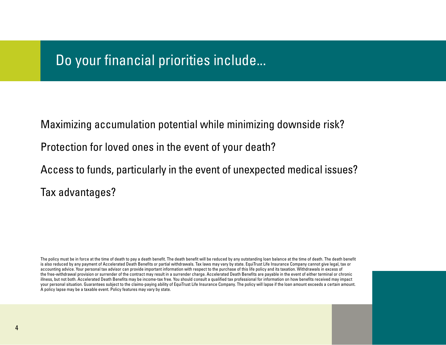## Do your financial priorities include...

Maximizing accumulation potential while minimizing downside risk?

Protection for loved ones in the event of your death?

Access to funds, particularly in the event of unexpected medical issues? Tax advantages?

The policy must be in force at the time of death to pay a death benefit. The death benefit will be reduced by any outstanding loan balance at the time of death. The death benefit is also reduced by any payment of Accelerated Death Benefits or partial withdrawals. Tax laws may vary by state. EquiTrust Life Insurance Company cannot give legal, tax or accounting advice. Your personal tax advisor can provide important information with respect to the purchase of this life policy and its taxation. Withdrawals in excess of the free-withdrawal provision or surrender of the contract may result in a surrender charge. Accelerated Death Benefits are payable in the event of either terminal or chronic illness, but not both. Accelerated Death Benefits may be income-tax free. You should consult a qualified tax professional for information on how benefits received may impact your personal situation. Guarantees subject to the claims-paying ability of EquiTrust Life Insurance Company. The policy will lapse if the loan amount exceeds a certain amount. A policy lapse may be a taxable event. Policy features may vary by state.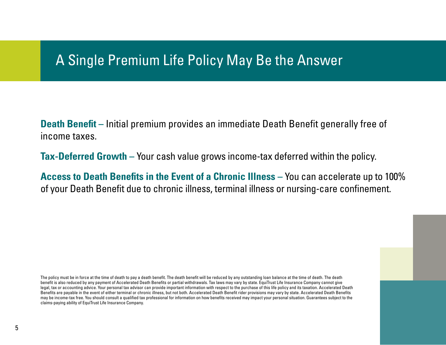## A Single Premium Life Policy May Be the Answer

**Death Benefit –** Initial premium provides an immediate Death Benefit generally free of income taxes.

**Tax-Deferred Growth –** Your cash value grows income-tax deferred within the policy.

**Access to Death Benefits in the Event of a Chronic Illness –** You can accelerate up to 100% of your Death Benefit due to chronic illness, terminal illness or nursing-care confinement.

The policy must be in force at the time of death to pay a death benefit. The death benefit will be reduced by any outstanding loan balance at the time of death. The death benefit is also reduced by any payment of Accelerated Death Benefits or partial withdrawals. Tax laws may vary by state. EquiTrust Life Insurance Company cannot give legal, tax or accounting advice. Your personal tax advisor can provide important information with respect to the purchase of this life policy and its taxation. Accelerated Death Benefits are payable in the event of either terminal or chronic illness, but not both. Accelerated Death Benefit rider provisions may vary by state. Accelerated Death Benefits may be income-tax free. You should consult a qualified tax professional for information on how benefits received may impact your personal situation. Guarantees subject to the claims-paying ability of EquiTrust Life Insurance Company.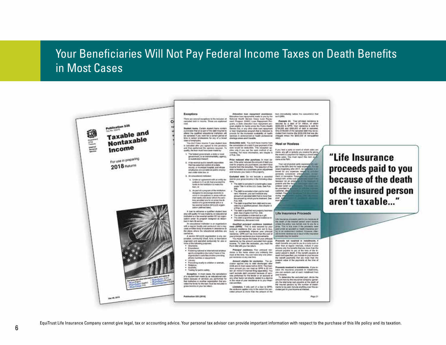#### Your Beneficiaries Will Not Pay Federal Income Taxes on Death Benefits in Most Cases

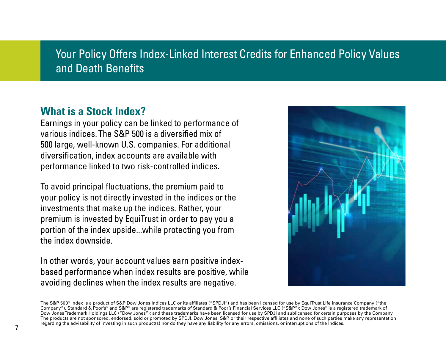### Your Policy Offers Index-Linked Interest Credits for Enhanced Policy Values and Death Benefits

#### **What is a Stock Index?**

Earnings in your policy can be linked to performance of various indices. The S&P 500 is a diversified mix of 500 large, well-known U.S. companies. For additional diversification, index accounts are available with performance linked to two risk-controlled indices.

To avoid principal fluctuations, the premium paid to your policy is not directly invested in the indices or the investments that make up the indices. Rather, your premium is invested by EquiTrust in order to pay you a portion of the index upside...while protecting you from the index downside.

In other words, your account values earn positive indexbased performance when index results are positive, while avoiding declines when the index results are negative.



The S&P 500<sup>®</sup> Index is a product of S&P Dow Jones Indices LLC or its affiliates ("SPDJI") and has been licensed for use by EquiTrust Life Insurance Company ("the Company"). Standard & Poor's® and S&P® are registered trademarks of Standard & Poor's Financial Services LLC ("S&P"); Dow Jones® is a registered trademark of Dow Jones Trademark Holdings LLC ("Dow Jones"); and these trademarks have been licensed for use by SPDJI and sublicensed for certain purposes by the Company. The products are not sponsored, endorsed, sold or promoted by SPDJI, Dow Jones, S&P, or their respective affiliates and none of such parties make any representation regarding the advisability of investing in such product(s) nor do they have any liability for any errors, omissions, or interruptions of the Indices.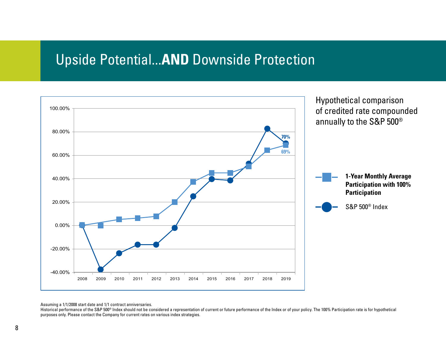## Upside Potential...**AND** Downside Protection



Assuming a 1/1/2008 start date and 1/1 contract anniversaries.

Historical performance of the S&P 500<sup>®</sup> Index should not be considered a representation of current or future performance of the Index or of your policy. The 100% Participation rate is for hypothetical purposes only. Please contact the Company for current rates on various index strategies.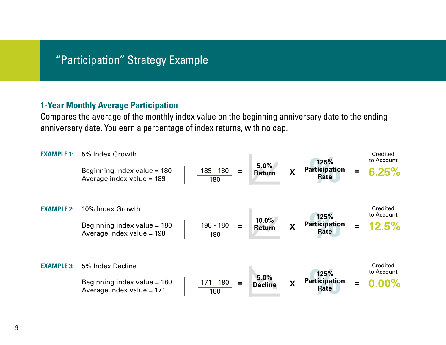#### "Participation" Strategy Example

#### **1-Year Monthly Average Participation**

Compares the average of the monthly index value on the beginning anniversary date to the ending anniversary date. You earn a percentage of index returns, with no cap.

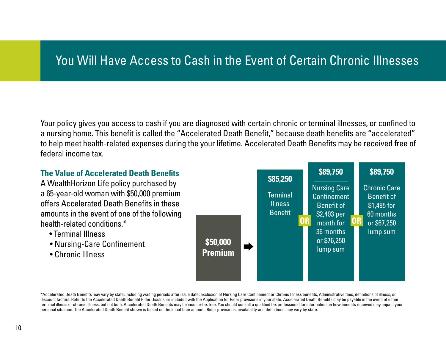## You Will Have Access to Cash in the Event of Certain Chronic Illnesses

Your policy gives you access to cash if you are diagnosed with certain chronic or terminal illnesses, or confined to a nursing home. This benefit is called the "Accelerated Death Benefit," because death benefits are "accelerated" to help meet health-related expenses during the your lifetime. Accelerated Death Benefits may be received free of federal income tax.

![](_page_9_Figure_2.jpeg)

\*Accelerated Death Benefits may vary by state, including waiting periods after issue date, exclusion of Nursing Care Confinement or Chronic Illness benefits, Administrative fees, definitions of illness, or discount factors. Refer to the Accelerated Death Benefit Rider Disclosure included with the Application for Rider provisions in your state. Accelerated Death Benefits may be payable in the event of either terminal illness or chronic illness, but not both. Accelerated Death Benefits may be income-tax free. You should consult a qualified tax professional for information on how benefits received may impact your personal situation. The Accelerated Death Benefit shown is based on the initial face amount. Rider provisions, availability and definitions may vary by state.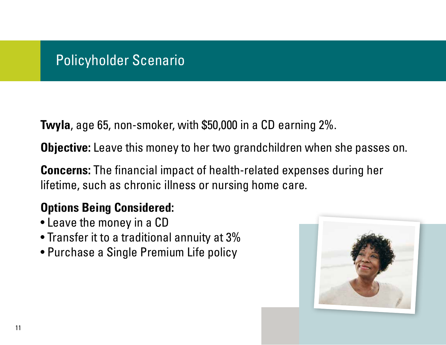## Policyholder Scenario

**Twyla**, age 65, non-smoker, with \$50,000 in a CD earning 2%.

**Objective:** Leave this money to her two grandchildren when she passes on.

**Concerns:** The financial impact of health-related expenses during her lifetime, such as chronic illness or nursing home care.

## **Options Being Considered:**

- Leave the money in a CD
- Transfer it to a traditional annuity at 3%
- Purchase a Single Premium Life policy

![](_page_10_Picture_8.jpeg)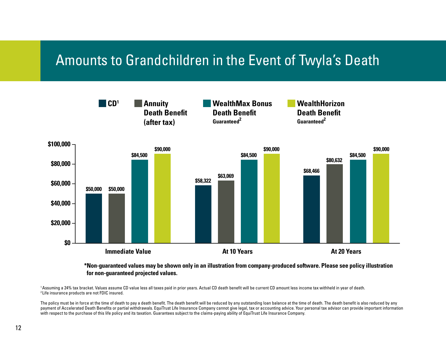## Amounts to Grandchildren in the Event of Twyla's Death

![](_page_11_Figure_1.jpeg)

#### **\*Non-guaranteed values may be shown only in an illustration from company-produced software. Please see policy illustration for non-guaranteed projected values.**

1 Assuming a 24% tax bracket. Values assume CD value less all taxes paid in prior years. Actual CD death benefit will be current CD amount less income tax withheld in year of death. 2 Life insurance products are not FDIC insured.

The policy must be in force at the time of death to pay a death benefit. The death benefit will be reduced by any outstanding loan balance at the time of death. The death benefit is also reduced by any payment of Accelerated Death Benefits or partial withdrawals. EquiTrust Life Insurance Company cannot give legal, tax or accounting advice. Your personal tax advisor can provide important information with respect to the purchase of this life policy and its taxation. Guarantees subject to the claims-paying ability of EquiTrust Life Insurance Company.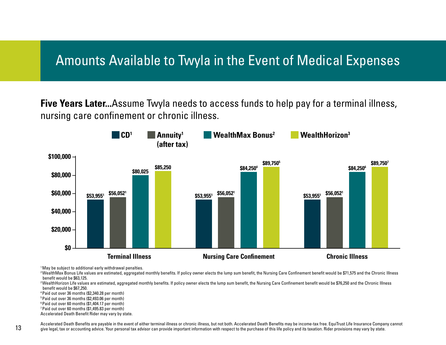## Amounts Available to Twyla in the Event of Medical Expenses

**Five Years Later...**Assume Twyla needs to access funds to help pay for a terminal illness, nursing care confinement or chronic illness.

![](_page_12_Figure_2.jpeg)

<sup>1</sup> May be subject to additional early withdrawal penalties.

<sup>2</sup>WealthMax Bonus Life values are estimated, aggregated monthly benefits. If policy owner elects the lump sum benefit, the Nursing Care Confinement benefit would be \$71,575 and the Chronic Illness benefit would be \$63,125.

<sup>2</sup>WealthHorizon Life values are estimated, aggregated monthly benefits. If policy owner elects the lump sum benefit, the Nursing Care Confinement benefit would be \$76,250 and the Chronic Illness benefit would be \$67,250.

4 Paid out over 36 months (\$2,340.28 per month)

5 Paid out over 36 months (\$2,493.06 per month)

6 Paid out over 60 months (\$1,404.17 per month)

7 Paid out over 60 months (\$1,495.83 per month)

Accelerated Death Benefit Rider may vary by state.

Accelerated Death Benefits are payable in the event of either terminal illness or chronic illness, but not both. Accelerated Death Benefits may be income-tax free. EquiTrust Life Insurance Company cannot give legal, tax or accounting advice. Your personal tax advisor can provide important information with respect to the purchase of this life policy and its taxation. Rider provisions may vary by state.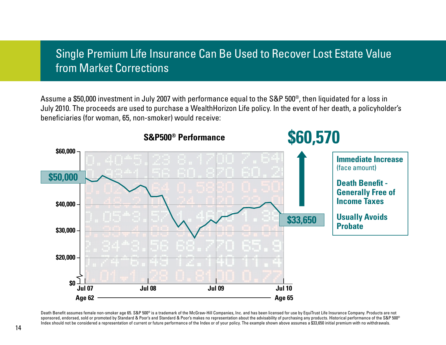### Single Premium Life Insurance Can Be Used to Recover Lost Estate Value from Market Corrections

Assume a \$50,000 investment in July 2007 with performance equal to the S&P 500®, then liquidated for a loss in July 2010. The proceeds are used to purchase a WealthHorizon Life policy. In the event of her death, a policyholder's beneficiaries (for woman, 65, non-smoker) would receive:

![](_page_13_Figure_2.jpeg)

Death Benefit assumes female non-smoker age 65. S&P 500® is a trademark of the McGraw-Hill Companies, Inc. and has been licensed for use by EquiTrust Life Insurance Company. Products are not sponsored, endorsed, sold or promoted by Standard & Poor's and Standard & Poor's makes no representation about the advisability of purchasing any products. Historical performance of the S&P 500<sup>®</sup> Index should not be considered a representation of current or future performance of the Index or of your policy. The example shown above assumes a \$33,650 initial premium with no withdrawals.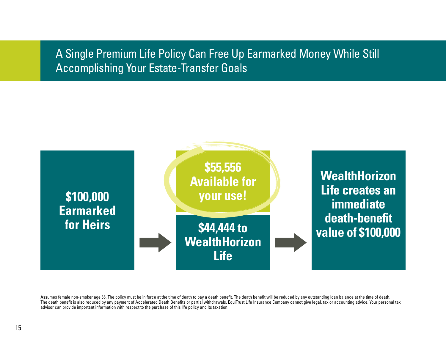### A Single Premium Life Policy Can Free Up Earmarked Money While Still Accomplishing Your Estate-Transfer Goals

![](_page_14_Figure_1.jpeg)

Assumes female non-smoker age 65. The policy must be in force at the time of death to pay a death benefit. The death benefit will be reduced by any outstanding loan balance at the time of death. The death benefit is also reduced by any payment of Accelerated Death Benefits or partial withdrawals. EquiTrust Life Insurance Company cannot give legal, tax or accounting advice. Your personal tax advisor can provide important information with respect to the purchase of this life policy and its taxation.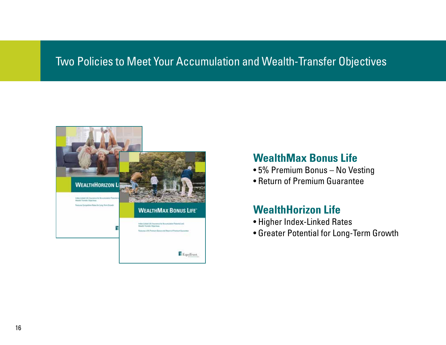#### Two Policies to Meet Your Accumulation and Wealth-Transfer Objectives

![](_page_15_Picture_1.jpeg)

#### **WealthMax Bonus Life**

- 5% Premium Bonus No Vesting
- Return of Premium Guarantee

#### **WealthHorizon Life**

- Higher Index-Linked Rates
- Greater Potential for Long-Term Growth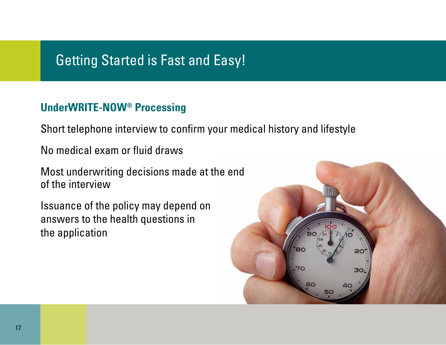## Getting Started is Fast and Easy!

#### **UnderWRITE-NOW® Processing**

Short telephone interview to confirm your medical history and lifestyle

No medical exam or fluid draws

Most underwriting decisions made at the end of the interview

Issuance of the policy may depend on answers to the health questions in the application

![](_page_16_Picture_6.jpeg)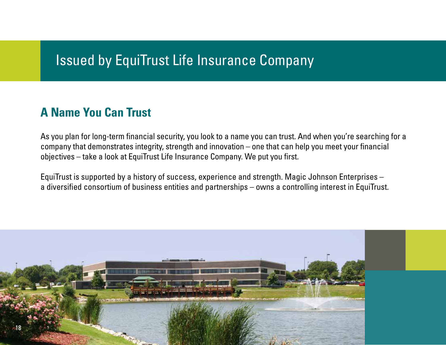## Issued by EquiTrust Life Insurance Company

## **A Name You Can Trust**

As you plan for long-term financial security, you look to a name you can trust. And when you're searching for a company that demonstrates integrity, strength and innovation – one that can help you meet your financial objectives – take a look at EquiTrust Life Insurance Company. We put you first.

EquiTrust is supported by a history of success, experience and strength. Magic Johnson Enterprises – a diversified consortium of business entities and partnerships – owns a controlling interest in EquiTrust.

![](_page_17_Picture_4.jpeg)